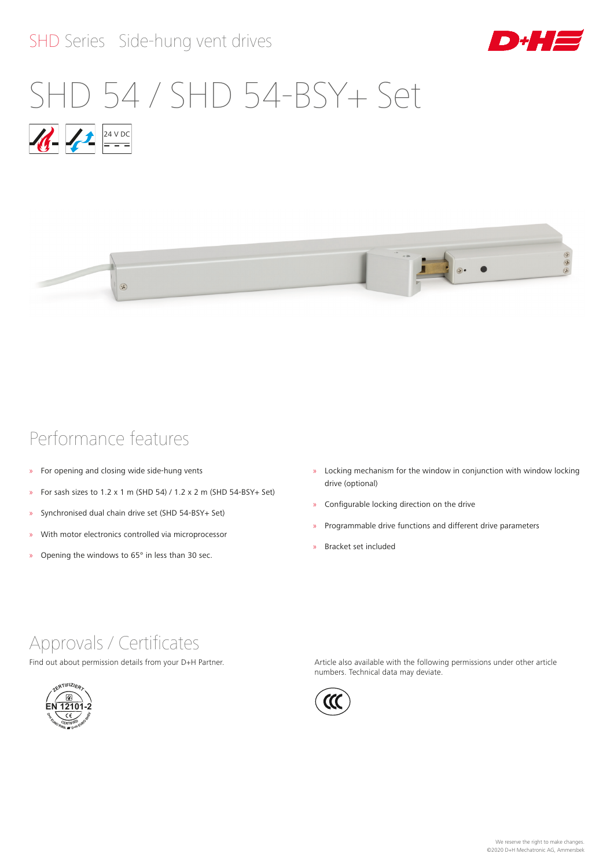# SHD Series Side-hung vent drives



# $1/12$  24 V DC SHD 54 / SHD 54-BSY+ Set



# Performance features

- » For opening and closing wide side-hung vents
- » For sash sizes to  $1.2 \times 1$  m (SHD 54) /  $1.2 \times 2$  m (SHD 54-BSY+ Set)
- » Synchronised dual chain drive set (SHD 54-BSY+ Set)
- » With motor electronics controlled via microprocessor
- » Opening the windows to 65° in less than 30 sec.
- » Locking mechanism for the window in conjunction with window locking drive (optional)
- » Configurable locking direction on the drive
- » Programmable drive functions and different drive parameters
- » Bracket set included

# Approvals / Certificates

Find out about permission details from your D+H Partner.



Article also available with the following permissions under other article numbers. Technical data may deviate.

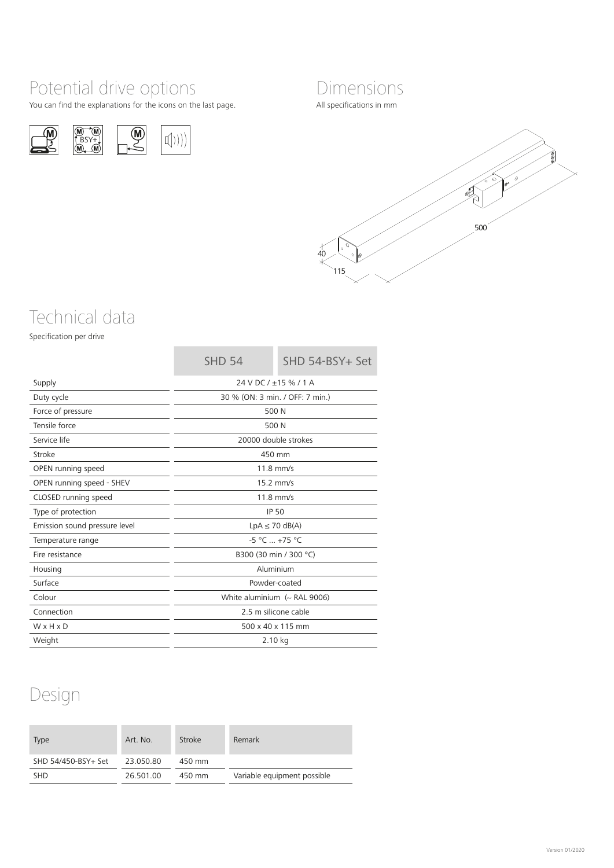# Potential drive options

You can find the explanations for the icons on the last page.





All specifications in mm



# Technical data

Specification per drive

|                               | <b>SHD 54</b>                    | SHD 54-BSY+ Set |  |
|-------------------------------|----------------------------------|-----------------|--|
| Supply                        | 24 V DC / ±15 % / 1 A            |                 |  |
| Duty cycle                    | 30 % (ON: 3 min. / OFF: 7 min.)  |                 |  |
| Force of pressure             | 500 N                            |                 |  |
| Tensile force                 | 500 N                            |                 |  |
| Service life                  | 20000 double strokes             |                 |  |
| Stroke                        | 450 mm                           |                 |  |
| OPEN running speed            | $11.8$ mm/s                      |                 |  |
| OPEN running speed - SHEV     | $15.2$ mm/s                      |                 |  |
| CLOSED running speed          | $11.8$ mm/s                      |                 |  |
| Type of protection            | <b>IP 50</b>                     |                 |  |
| Emission sound pressure level | $LpA \leq 70$ dB(A)              |                 |  |
| Temperature range             | $-5 °C  +75 °C$                  |                 |  |
| Fire resistance               | B300 (30 min / 300 °C)           |                 |  |
| Housing                       | Aluminium                        |                 |  |
| Surface                       | Powder-coated                    |                 |  |
| Colour                        | White aluminium $\sim$ RAL 9006) |                 |  |
| Connection                    | 2.5 m silicone cable             |                 |  |
| WxHxD                         | 500 x 40 x 115 mm                |                 |  |
| Weight                        | 2.10 kg                          |                 |  |

**COL** 

# Design

| <b>Type</b>         | Art. No.  | Stroke | Remark                      |
|---------------------|-----------|--------|-----------------------------|
| SHD 54/450-BSY+ Set | 23.050.80 | 450 mm |                             |
| <b>SHD</b>          | 26.501.00 | 450 mm | Variable equipment possible |